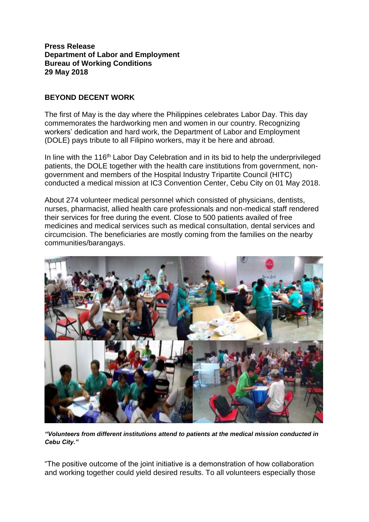**Press Release Department of Labor and Employment Bureau of Working Conditions 29 May 2018**

## **BEYOND DECENT WORK**

The first of May is the day where the Philippines celebrates Labor Day. This day commemorates the hardworking men and women in our country. Recognizing workers' dedication and hard work, the Department of Labor and Employment (DOLE) pays tribute to all Filipino workers, may it be here and abroad.

In line with the 116<sup>th</sup> Labor Day Celebration and in its bid to help the underprivileged patients, the DOLE together with the health care institutions from government, nongovernment and members of the Hospital Industry Tripartite Council (HITC) conducted a medical mission at IC3 Convention Center, Cebu City on 01 May 2018.

About 274 volunteer medical personnel which consisted of physicians, dentists, nurses, pharmacist, allied health care professionals and non-medical staff rendered their services for free during the event. Close to 500 patients availed of free medicines and medical services such as medical consultation, dental services and circumcision. The beneficiaries are mostly coming from the families on the nearby communities/barangays.



*"Volunteers from different institutions attend to patients at the medical mission conducted in Cebu City."*

"The positive outcome of the joint initiative is a demonstration of how collaboration and working together could yield desired results. To all volunteers especially those